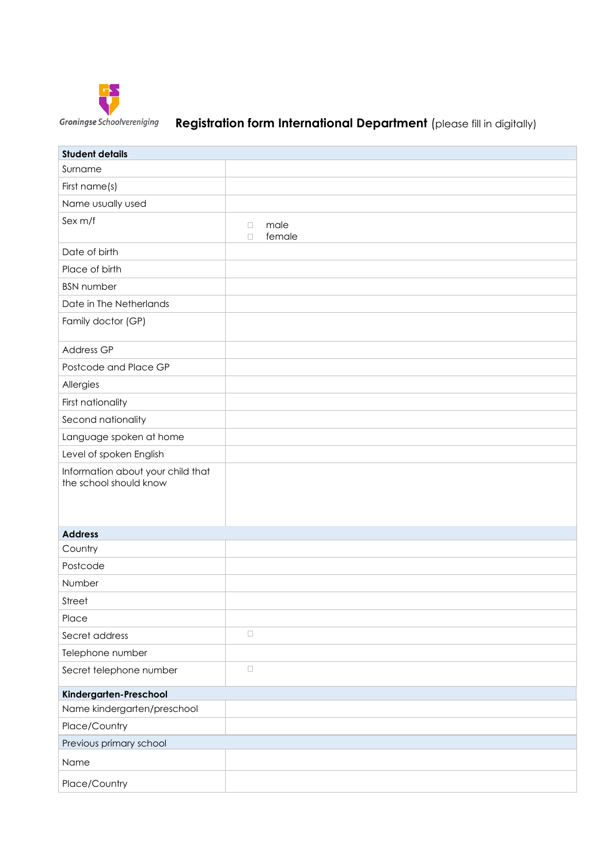

# Groningse Schoolvereniging **Registration form International Department** (please fill in digitally)

| <b>Student details</b>                                      |                                    |
|-------------------------------------------------------------|------------------------------------|
| Surname                                                     |                                    |
| First name(s)                                               |                                    |
| Name usually used                                           |                                    |
| Sex m/f                                                     | male<br>$\Box$<br>female<br>$\Box$ |
| Date of birth                                               |                                    |
| Place of birth                                              |                                    |
| <b>BSN</b> number                                           |                                    |
| Date in The Netherlands                                     |                                    |
| Family doctor (GP)                                          |                                    |
| <b>Address GP</b>                                           |                                    |
| Postcode and Place GP                                       |                                    |
| Allergies                                                   |                                    |
| First nationality                                           |                                    |
| Second nationality                                          |                                    |
| Language spoken at home                                     |                                    |
| Level of spoken English                                     |                                    |
| Information about your child that<br>the school should know |                                    |
| <b>Address</b>                                              |                                    |
| Country                                                     |                                    |
| Postcode                                                    |                                    |
| Number                                                      |                                    |
| Street                                                      |                                    |
| Place                                                       |                                    |
| Secret address                                              | $\Box$                             |
| Telephone number                                            |                                    |
| Secret telephone number                                     | $\Box$                             |
| Kindergarten-Preschool                                      |                                    |
| Name kindergarten/preschool                                 |                                    |
| Place/Country                                               |                                    |
| Previous primary school                                     |                                    |
| Name                                                        |                                    |
| Place/Country                                               |                                    |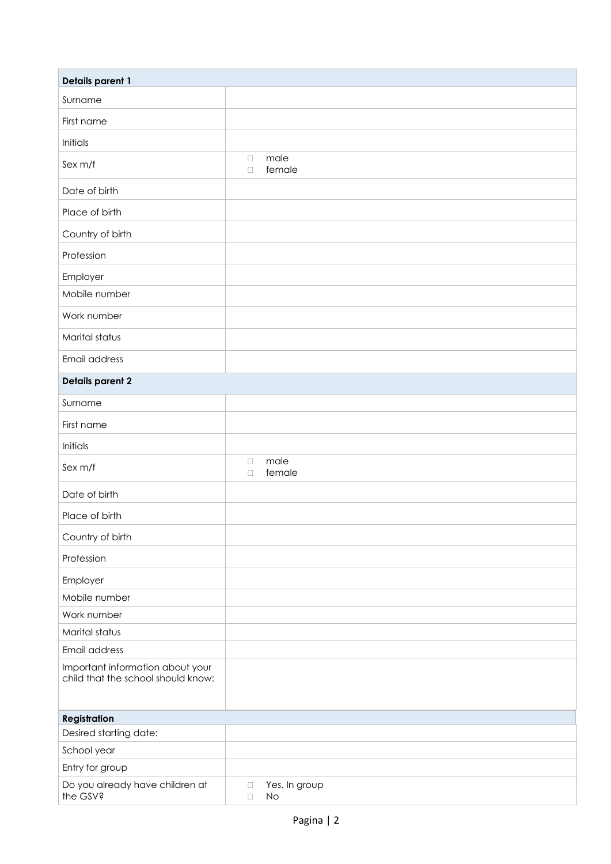| <b>Details parent 1</b>                                                |                                         |  |
|------------------------------------------------------------------------|-----------------------------------------|--|
| Surname                                                                |                                         |  |
| First name                                                             |                                         |  |
| Initials                                                               |                                         |  |
| Sex m/f                                                                | male<br>$\Box$<br>female<br>$\Box$      |  |
| Date of birth                                                          |                                         |  |
| Place of birth                                                         |                                         |  |
| Country of birth                                                       |                                         |  |
| Profession                                                             |                                         |  |
| Employer                                                               |                                         |  |
| Mobile number                                                          |                                         |  |
| Work number                                                            |                                         |  |
| Marital status                                                         |                                         |  |
| Email address                                                          |                                         |  |
| <b>Details parent 2</b>                                                |                                         |  |
| Surname                                                                |                                         |  |
| First name                                                             |                                         |  |
| Initials                                                               |                                         |  |
| Sex m/f                                                                | male<br>$\Box$<br>female<br>$\Box$      |  |
| Date of birth                                                          |                                         |  |
| Place of birth                                                         |                                         |  |
| Country of birth                                                       |                                         |  |
| Profession                                                             |                                         |  |
| Employer                                                               |                                         |  |
| Mobile number                                                          |                                         |  |
| Work number                                                            |                                         |  |
| Marital status                                                         |                                         |  |
| Email address                                                          |                                         |  |
| Important information about your<br>child that the school should know: |                                         |  |
| <b>Registration</b>                                                    |                                         |  |
| Desired starting date:                                                 |                                         |  |
| School year                                                            |                                         |  |
| Entry for group                                                        |                                         |  |
| Do you already have children at<br>the GSV?                            | Yes. In group<br>$\Box$<br>No<br>$\Box$ |  |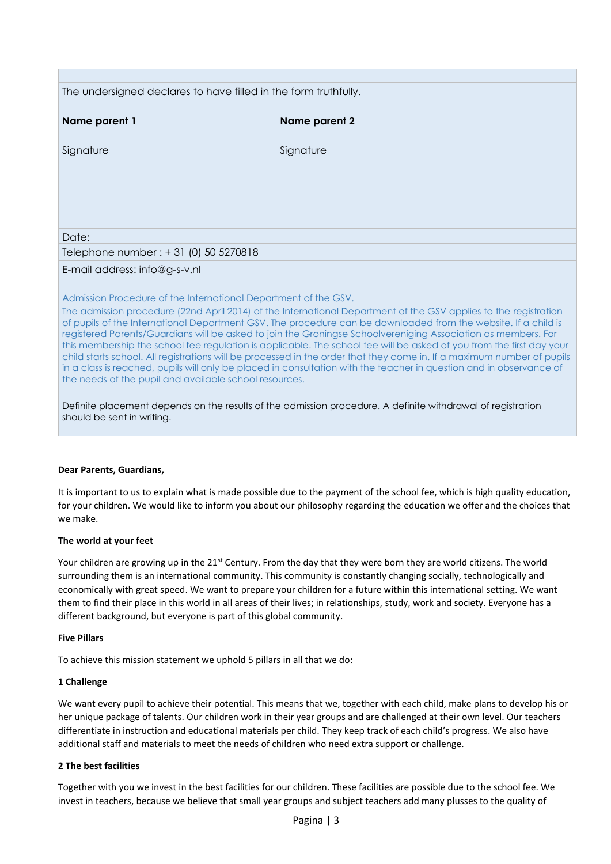| The undersigned declares to have filled in the form truthfully.                                             |                                                                                                                                                                                                                                                                                                                                                                                                                                                                                                                                                                                                                                                                                                                              |  |
|-------------------------------------------------------------------------------------------------------------|------------------------------------------------------------------------------------------------------------------------------------------------------------------------------------------------------------------------------------------------------------------------------------------------------------------------------------------------------------------------------------------------------------------------------------------------------------------------------------------------------------------------------------------------------------------------------------------------------------------------------------------------------------------------------------------------------------------------------|--|
| Name parent 1                                                                                               | Name parent 2                                                                                                                                                                                                                                                                                                                                                                                                                                                                                                                                                                                                                                                                                                                |  |
| Signature                                                                                                   | Signature                                                                                                                                                                                                                                                                                                                                                                                                                                                                                                                                                                                                                                                                                                                    |  |
|                                                                                                             |                                                                                                                                                                                                                                                                                                                                                                                                                                                                                                                                                                                                                                                                                                                              |  |
|                                                                                                             |                                                                                                                                                                                                                                                                                                                                                                                                                                                                                                                                                                                                                                                                                                                              |  |
|                                                                                                             |                                                                                                                                                                                                                                                                                                                                                                                                                                                                                                                                                                                                                                                                                                                              |  |
| Date:                                                                                                       |                                                                                                                                                                                                                                                                                                                                                                                                                                                                                                                                                                                                                                                                                                                              |  |
| Telephone number : + 31 (0) 50 5270818                                                                      |                                                                                                                                                                                                                                                                                                                                                                                                                                                                                                                                                                                                                                                                                                                              |  |
| E-mail address: info@g-s-v.nl                                                                               |                                                                                                                                                                                                                                                                                                                                                                                                                                                                                                                                                                                                                                                                                                                              |  |
|                                                                                                             |                                                                                                                                                                                                                                                                                                                                                                                                                                                                                                                                                                                                                                                                                                                              |  |
| Admission Procedure of the International Department of the GSV.                                             |                                                                                                                                                                                                                                                                                                                                                                                                                                                                                                                                                                                                                                                                                                                              |  |
| the needs of the pupil and available school resources.                                                      | The admission procedure (22nd April 2014) of the International Department of the GSV applies to the registration<br>of pupils of the International Department GSV. The procedure can be downloaded from the website. If a child is<br>registered Parents/Guardians will be asked to join the Groningse Schoolvereniging Association as members. For<br>this membership the school fee regulation is applicable. The school fee will be asked of you from the first day your<br>child starts school. All registrations will be processed in the order that they come in. If a maximum number of pupils<br>in a class is reached, pupils will only be placed in consultation with the teacher in question and in observance of |  |
| Definite placement depends on the results of the admission procedure. A definite withdrawal of registration |                                                                                                                                                                                                                                                                                                                                                                                                                                                                                                                                                                                                                                                                                                                              |  |
| should be sent in writing.                                                                                  |                                                                                                                                                                                                                                                                                                                                                                                                                                                                                                                                                                                                                                                                                                                              |  |

### **Dear Parents, Guardians,**

It is important to us to explain what is made possible due to the payment of the school fee, which is high quality education, for your children. We would like to inform you about our philosophy regarding the education we offer and the choices that we make.

### **The world at your feet**

Your children are growing up in the 21<sup>st</sup> Century. From the day that they were born they are world citizens. The world surrounding them is an international community. This community is constantly changing socially, technologically and economically with great speed. We want to prepare your children for a future within this international setting. We want them to find their place in this world in all areas of their lives; in relationships, study, work and society. Everyone has a different background, but everyone is part of this global community.

### **Five Pillars**

To achieve this mission statement we uphold 5 pillars in all that we do:

### **1 Challenge**

We want every pupil to achieve their potential. This means that we, together with each child, make plans to develop his or her unique package of talents. Our children work in their year groups and are challenged at their own level. Our teachers differentiate in instruction and educational materials per child. They keep track of each child's progress. We also have additional staff and materials to meet the needs of children who need extra support or challenge.

### **2 The best facilities**

Together with you we invest in the best facilities for our children. These facilities are possible due to the school fee. We invest in teachers, because we believe that small year groups and subject teachers add many plusses to the quality of